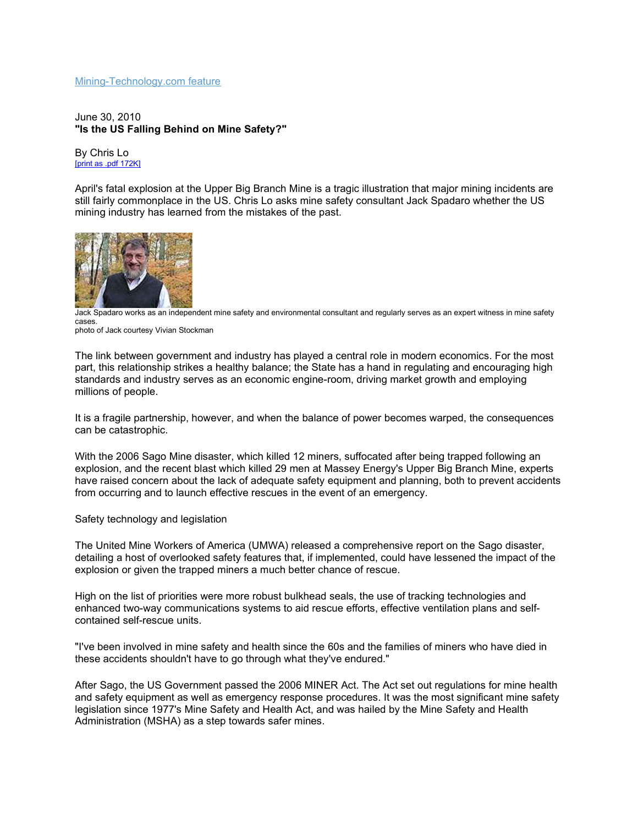## Mining-Technology.com feature

June 30, 2010 "Is the US Falling Behind on Mine Safety?"

By Chris Lo [print as .pdf 172K]

April's fatal explosion at the Upper Big Branch Mine is a tragic illustration that major mining incidents are still fairly commonplace in the US. Chris Lo asks mine safety consultant Jack Spadaro whether the US mining industry has learned from the mistakes of the past.



Jack Spadaro works as an independent mine safety and environmental consultant and regularly serves as an expert witness in mine safety cases.

photo of Jack courtesy Vivian Stockman

The link between government and industry has played a central role in modern economics. For the most part, this relationship strikes a healthy balance; the State has a hand in regulating and encouraging high standards and industry serves as an economic engine-room, driving market growth and employing millions of people.

It is a fragile partnership, however, and when the balance of power becomes warped, the consequences can be catastrophic.

With the 2006 Sago Mine disaster, which killed 12 miners, suffocated after being trapped following an explosion, and the recent blast which killed 29 men at Massey Energy's Upper Big Branch Mine, experts have raised concern about the lack of adequate safety equipment and planning, both to prevent accidents from occurring and to launch effective rescues in the event of an emergency.

Safety technology and legislation

The United Mine Workers of America (UMWA) released a comprehensive report on the Sago disaster, detailing a host of overlooked safety features that, if implemented, could have lessened the impact of the explosion or given the trapped miners a much better chance of rescue.

High on the list of priorities were more robust bulkhead seals, the use of tracking technologies and enhanced two-way communications systems to aid rescue efforts, effective ventilation plans and selfcontained self-rescue units.

"I've been involved in mine safety and health since the 60s and the families of miners who have died in these accidents shouldn't have to go through what they've endured."

After Sago, the US Government passed the 2006 MINER Act. The Act set out regulations for mine health and safety equipment as well as emergency response procedures. It was the most significant mine safety legislation since 1977's Mine Safety and Health Act, and was hailed by the Mine Safety and Health Administration (MSHA) as a step towards safer mines.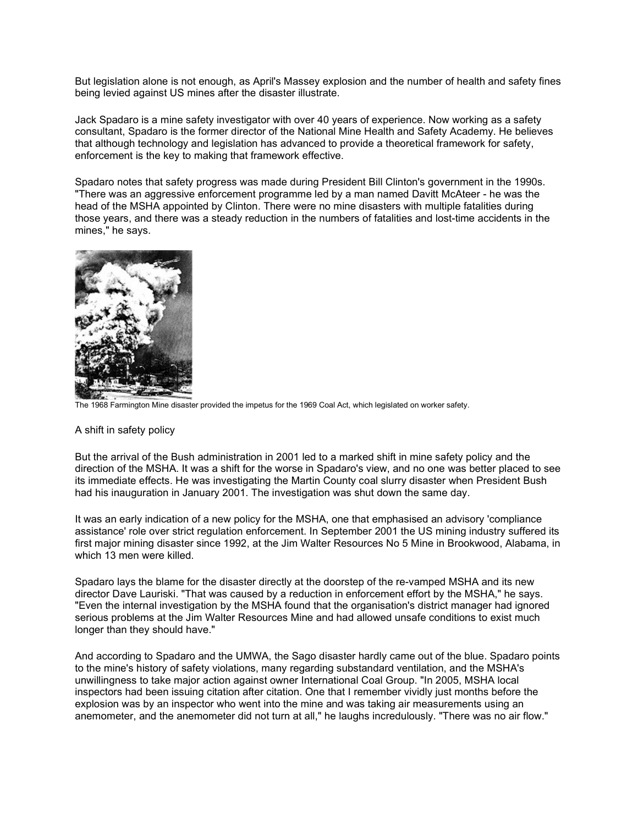But legislation alone is not enough, as April's Massey explosion and the number of health and safety fines being levied against US mines after the disaster illustrate.

Jack Spadaro is a mine safety investigator with over 40 years of experience. Now working as a safety consultant, Spadaro is the former director of the National Mine Health and Safety Academy. He believes that although technology and legislation has advanced to provide a theoretical framework for safety, enforcement is the key to making that framework effective.

Spadaro notes that safety progress was made during President Bill Clinton's government in the 1990s. "There was an aggressive enforcement programme led by a man named Davitt McAteer - he was the head of the MSHA appointed by Clinton. There were no mine disasters with multiple fatalities during those years, and there was a steady reduction in the numbers of fatalities and lost-time accidents in the mines," he says.



The 1968 Farmington Mine disaster provided the impetus for the 1969 Coal Act, which legislated on worker safety.

## A shift in safety policy

But the arrival of the Bush administration in 2001 led to a marked shift in mine safety policy and the direction of the MSHA. It was a shift for the worse in Spadaro's view, and no one was better placed to see its immediate effects. He was investigating the Martin County coal slurry disaster when President Bush had his inauguration in January 2001. The investigation was shut down the same day.

It was an early indication of a new policy for the MSHA, one that emphasised an advisory 'compliance assistance' role over strict regulation enforcement. In September 2001 the US mining industry suffered its first major mining disaster since 1992, at the Jim Walter Resources No 5 Mine in Brookwood, Alabama, in which 13 men were killed.

Spadaro lays the blame for the disaster directly at the doorstep of the re-vamped MSHA and its new director Dave Lauriski. "That was caused by a reduction in enforcement effort by the MSHA," he says. "Even the internal investigation by the MSHA found that the organisation's district manager had ignored serious problems at the Jim Walter Resources Mine and had allowed unsafe conditions to exist much longer than they should have."

And according to Spadaro and the UMWA, the Sago disaster hardly came out of the blue. Spadaro points to the mine's history of safety violations, many regarding substandard ventilation, and the MSHA's unwillingness to take major action against owner International Coal Group. "In 2005, MSHA local inspectors had been issuing citation after citation. One that I remember vividly just months before the explosion was by an inspector who went into the mine and was taking air measurements using an anemometer, and the anemometer did not turn at all," he laughs incredulously. "There was no air flow."